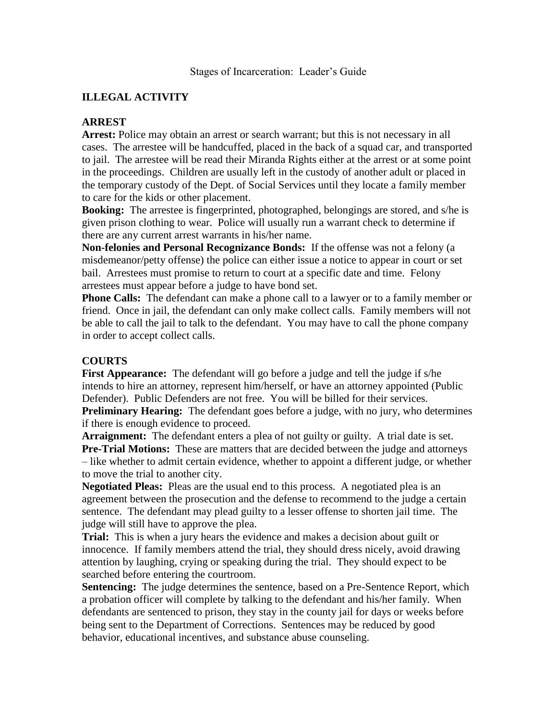## **ILLEGAL ACTIVITY**

## **ARREST**

Arrest: Police may obtain an arrest or search warrant; but this is not necessary in all cases. The arrestee will be handcuffed, placed in the back of a squad car, and transported to jail. The arrestee will be read their Miranda Rights either at the arrest or at some point in the proceedings. Children are usually left in the custody of another adult or placed in the temporary custody of the Dept. of Social Services until they locate a family member to care for the kids or other placement.

**Booking:** The arrestee is fingerprinted, photographed, belongings are stored, and s/he is given prison clothing to wear. Police will usually run a warrant check to determine if there are any current arrest warrants in his/her name.

**Non-felonies and Personal Recognizance Bonds:** If the offense was not a felony (a misdemeanor/petty offense) the police can either issue a notice to appear in court or set bail. Arrestees must promise to return to court at a specific date and time. Felony arrestees must appear before a judge to have bond set.

**Phone Calls:** The defendant can make a phone call to a lawyer or to a family member or friend. Once in jail, the defendant can only make collect calls. Family members will not be able to call the jail to talk to the defendant. You may have to call the phone company in order to accept collect calls.

## **COURTS**

**First Appearance:** The defendant will go before a judge and tell the judge if s/he intends to hire an attorney, represent him/herself, or have an attorney appointed (Public Defender). Public Defenders are not free. You will be billed for their services.

**Preliminary Hearing:** The defendant goes before a judge, with no jury, who determines if there is enough evidence to proceed.

**Arraignment:** The defendant enters a plea of not guilty or guilty. A trial date is set. **Pre-Trial Motions:** These are matters that are decided between the judge and attorneys – like whether to admit certain evidence, whether to appoint a different judge, or whether to move the trial to another city.

**Negotiated Pleas:** Pleas are the usual end to this process. A negotiated plea is an agreement between the prosecution and the defense to recommend to the judge a certain sentence. The defendant may plead guilty to a lesser offense to shorten jail time. The judge will still have to approve the plea.

**Trial:** This is when a jury hears the evidence and makes a decision about guilt or innocence. If family members attend the trial, they should dress nicely, avoid drawing attention by laughing, crying or speaking during the trial. They should expect to be searched before entering the courtroom.

**Sentencing:** The judge determines the sentence, based on a Pre-Sentence Report, which a probation officer will complete by talking to the defendant and his/her family. When defendants are sentenced to prison, they stay in the county jail for days or weeks before being sent to the Department of Corrections. Sentences may be reduced by good behavior, educational incentives, and substance abuse counseling.